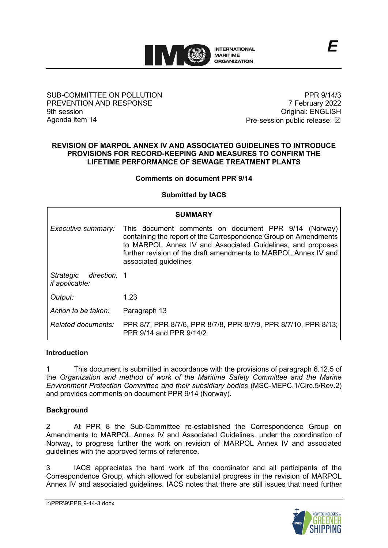

### SUB-COMMITTEE ON POLLUTION PREVENTION AND RESPONSE 9th session Agenda item 14

PPR 9/14/3 7 February 2022 Original: ENGLISH Pre-session public release:  $\boxtimes$ 

*E*

#### **REVISION OF MARPOL ANNEX IV AND ASSOCIATED GUIDELINES TO INTRODUCE PROVISIONS FOR RECORD-KEEPING AND MEASURES TO CONFIRM THE LIFETIME PERFORMANCE OF SEWAGE TREATMENT PLANTS**

### **Comments on document PPR 9/14**

### **Submitted by IACS**

| <b>SUMMARY</b>                                     |                                                                                                                                                                                                                                                                                   |
|----------------------------------------------------|-----------------------------------------------------------------------------------------------------------------------------------------------------------------------------------------------------------------------------------------------------------------------------------|
| Executive summary:                                 | This document comments on document PPR 9/14 (Norway)<br>containing the report of the Correspondence Group on Amendments<br>to MARPOL Annex IV and Associated Guidelines, and proposes<br>further revision of the draft amendments to MARPOL Annex IV and<br>associated guidelines |
| Strategic<br>direction, 1<br><i>if applicable:</i> |                                                                                                                                                                                                                                                                                   |
| Output:                                            | 1.23                                                                                                                                                                                                                                                                              |
| Action to be taken:                                | Paragraph 13                                                                                                                                                                                                                                                                      |
| Related documents:                                 | PPR 8/7, PPR 8/7/6, PPR 8/7/8, PPR 8/7/9, PPR 8/7/10, PPR 8/13;<br>PPR 9/14 and PPR 9/14/2                                                                                                                                                                                        |

### **Introduction**

1 This document is submitted in accordance with the provisions of paragraph 6.12.5 of the *Organization and method of work of the Maritime Safety Committee and the Marine Environment Protection Committee and their subsidiary bodies* (MSC-MEPC.1/Circ.5/Rev.2) and provides comments on document PPR 9/14 (Norway).

## **Background**

2 At PPR 8 the Sub-Committee re-established the Correspondence Group on Amendments to MARPOL Annex IV and Associated Guidelines, under the coordination of Norway, to progress further the work on revision of MARPOL Annex IV and associated guidelines with the approved terms of reference.

3 IACS appreciates the hard work of the coordinator and all participants of the Correspondence Group, which allowed for substantial progress in the revision of MARPOL Annex IV and associated guidelines. IACS notes that there are still issues that need further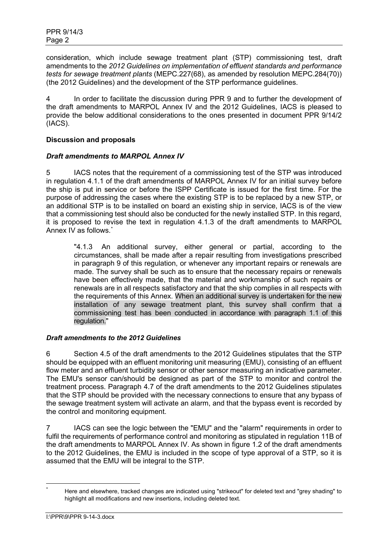consideration, which include sewage treatment plant (STP) commissioning test, draft amendments to the *2012 Guidelines on implementation of effluent standards and performance tests for sewage treatment plants* (MEPC.227(68), as amended by resolution MEPC.284(70)) (the 2012 Guidelines) and the development of the STP performance guidelines.

4 In order to facilitate the discussion during PPR 9 and to further the development of the draft amendments to MARPOL Annex IV and the 2012 Guidelines, IACS is pleased to provide the below additional considerations to the ones presented in document PPR 9/14/2 (IACS).

### **Discussion and proposals**

### *Draft amendments to MARPOL Annex IV*

5 IACS notes that the requirement of a commissioning test of the STP was introduced in regulation 4.1.1 of the draft amendments of MARPOL Annex IV for an initial survey before the ship is put in service or before the ISPP Certificate is issued for the first time. For the purpose of addressing the cases where the existing STP is to be replaced by a new STP, or an additional STP is to be installed on board an existing ship in service, IACS is of the view that a commissioning test should also be conducted for the newly installed STP. In this regard, it is proposed to revise the text in regulation 4.1.3 of the draft amendments to MARPOL Annex IV as follows. [\\*](#page-1-0)

"4.1.3 An additional survey, either general or partial, according to the circumstances, shall be made after a repair resulting from investigations prescribed in paragraph 9 of this regulation, or whenever any important repairs or renewals are made. The survey shall be such as to ensure that the necessary repairs or renewals have been effectively made, that the material and workmanship of such repairs or renewals are in all respects satisfactory and that the ship complies in all respects with the requirements of this Annex. When an additional survey is undertaken for the new installation of any sewage treatment plant, this survey shall confirm that a commissioning test has been conducted in accordance with paragraph 1.1 of this regulation."

### *Draft amendments to the 2012 Guidelines*

6 Section 4.5 of the draft amendments to the 2012 Guidelines stipulates that the STP should be equipped with an effluent monitoring unit measuring (EMU), consisting of an effluent flow meter and an effluent turbidity sensor or other sensor measuring an indicative parameter. The EMU's sensor can/should be designed as part of the STP to monitor and control the treatment process. Paragraph 4.7 of the draft amendments to the 2012 Guidelines stipulates that the STP should be provided with the necessary connections to ensure that any bypass of the sewage treatment system will activate an alarm, and that the bypass event is recorded by the control and monitoring equipment.

7 IACS can see the logic between the "EMU" and the "alarm" requirements in order to fulfil the requirements of performance control and monitoring as stipulated in regulation 11B of the draft amendments to MARPOL Annex IV. As shown in figure 1.2 of the draft amendments to the 2012 Guidelines, the EMU is included in the scope of type approval of a STP, so it is assumed that the EMU will be integral to the STP.

<span id="page-1-0"></span>Here and elsewhere, tracked changes are indicated using "strikeout" for deleted text and "grey shading" to highlight all modifications and new insertions, including deleted text.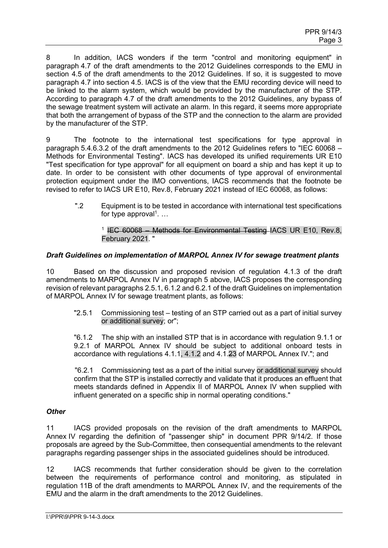8 In addition, IACS wonders if the term "control and monitoring equipment" in paragraph 4.7 of the draft amendments to the 2012 Guidelines corresponds to the EMU in section 4.5 of the draft amendments to the 2012 Guidelines. If so, it is suggested to move paragraph 4.7 into section 4.5. IACS is of the view that the EMU recording device will need to be linked to the alarm system, which would be provided by the manufacturer of the STP. According to paragraph 4.7 of the draft amendments to the 2012 Guidelines, any bypass of the sewage treatment system will activate an alarm. In this regard, it seems more appropriate that both the arrangement of bypass of the STP and the connection to the alarm are provided by the manufacturer of the STP.

9 The footnote to the international test specifications for type approval in paragraph 5.4.6.3.2 of the draft amendments to the 2012 Guidelines refers to "IEC 60068 – Methods for Environmental Testing". IACS has developed its unified requirements UR E10 "Test specification for type approval" for all equipment on board a ship and has kept it up to date. In order to be consistent with other documents of type approval of environmental protection equipment under the IMO conventions, IACS recommends that the footnote be revised to refer to IACS UR E10, Rev.8, February 2021 instead of IEC 60068, as follows:

".2 Equipment is to be tested in accordance with international test specifications for type approval $1$ . ...

### <sup>1</sup> IEC 60068 – Methods for Environmental Testing IACS UR E10, Rev.8. February 2021. "

### *Draft Guidelines on implementation of MARPOL Annex IV for sewage treatment plants*

10 Based on the discussion and proposed revision of regulation 4.1.3 of the draft amendments to MARPOL Annex IV in paragraph 5 above, IACS proposes the corresponding revision of relevant paragraphs 2.5.1, 6.1.2 and 6.2.1 of the draft Guidelines on implementation of MARPOL Annex IV for sewage treatment plants, as follows:

"2.5.1 Commissioning test – testing of an STP carried out as a part of initial survey or additional survey; or";

"6.1.2 The ship with an installed STP that is in accordance with regulation 9.1.1 or 9.2.1 of MARPOL Annex IV should be subject to additional onboard tests in accordance with regulations 4.1.1, 4.1.2 and 4.1.23 of MARPOL Annex IV."; and

"6.2.1 Commissioning test as a part of the initial survey or additional survey should confirm that the STP is installed correctly and validate that it produces an effluent that meets standards defined in Appendix II of MARPOL Annex IV when supplied with influent generated on a specific ship in normal operating conditions."

### *Other*

11 IACS provided proposals on the revision of the draft amendments to MARPOL Annex IV regarding the definition of "passenger ship" in document PPR 9/14/2. If those proposals are agreed by the Sub-Committee, then consequential amendments to the relevant paragraphs regarding passenger ships in the associated guidelines should be introduced.

12 IACS recommends that further consideration should be given to the correlation between the requirements of performance control and monitoring, as stipulated in regulation 11B of the draft amendments to MARPOL Annex IV, and the requirements of the EMU and the alarm in the draft amendments to the 2012 Guidelines.